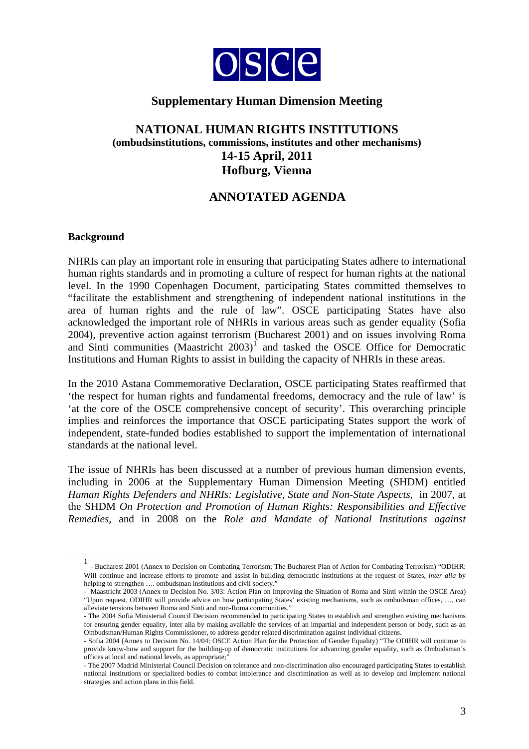

# **Supplementary Human Dimension Meeting**

## **NATIONAL HUMAN RIGHTS INSTITUTIONS (ombudsinstitutions, commissions, institutes and other mechanisms) 14-15 April, 2011 Hofburg, Vienna**

# **ANNOTATED AGENDA**

## **Background**

NHRIs can play an important role in ensuring that participating States adhere to international human rights standards and in promoting a culture of respect for human rights at the national level. In the 1990 Copenhagen Document, participating States committed themselves to "facilitate the establishment and strengthening of independent national institutions in the area of human rights and the rule of law". OSCE participating States have also acknowledged the important role of NHRIs in various areas such as gender equality (Sofia 2004), preventive action against terrorism (Bucharest 2001) and on issues involving Roma and Sinti communities  $(Maastricht 2003)^T$  and tasked the OSCE Office for Democratic Institutions and Human Rights to assist in building the capacity of NHRIs in these areas.

In the 2010 Astana Commemorative Declaration, OSCE participating States reaffirmed that 'the respect for human rights and fundamental freedoms, democracy and the rule of law' is 'at the core of the OSCE comprehensive concept of security'. This overarching principle implies and reinforces the importance that OSCE participating States support the work of independent, state-funded bodies established to support the implementation of international standards at the national level.

The issue of NHRIs has been discussed at a number of previous human dimension events, including in 2006 at the Supplementary Human Dimension Meeting (SHDM) entitled *Human Rights Defenders and NHRIs: Legislative, State and Non-State Aspects*, in 2007, at the SHDM *On Protection and Promotion of Human Rights: Responsibilities and Effective Remedies,* and in 2008 on the *Role and Mandate of National Institutions against* 

<span id="page-0-0"></span> $\overline{\phantom{0}1}$ - Bucharest 2001 (Annex to Decision on Combating Terrorism; The Bucharest Plan of Action for Combating Terrorism) "ODIHR: Will continue and increase efforts to promote and assist in building democratic institutions at the request of States, *inter alia* by helping to strengthen .... ombudsman institutions and civil society."

<sup>-</sup> Maastricht 2003 (Annex to Decision No. 3/03: Action Plan on Improving the Situation of Roma and Sinti within the OSCE Area) "Upon request, ODIHR will provide advice on how participating States' existing mechanisms, such as ombudsman offices, …, can alleviate tensions between Roma and Sinti and non-Roma communities."

<sup>-</sup> The 2004 Sofia Ministerial Council Decision recommended to participating States to establish and strengthen existing mechanisms for ensuring gender equality, inter alia by making available the services of an impartial and independent person or body, such as an Ombudsman/Human Rights Commissioner, to address gender related discrimination against individual citizens.

<sup>-</sup> Sofia 2004 (Annex to Decision No. 14/04; OSCE Action Plan for the Protection of Gender Equality) "The ODIHR will continue to provide know-how and support for the building-up of democratic institutions for advancing gender equality, such as Ombudsman's offices at local and national levels, as appropriate;'

<sup>-</sup> The 2007 Madrid Ministerial Council Decision on tolerance and non-discrimination also encouraged participating States to establish national institutions or specialized bodies to combat intolerance and discrimination as well as to develop and implement national strategies and action plans in this field.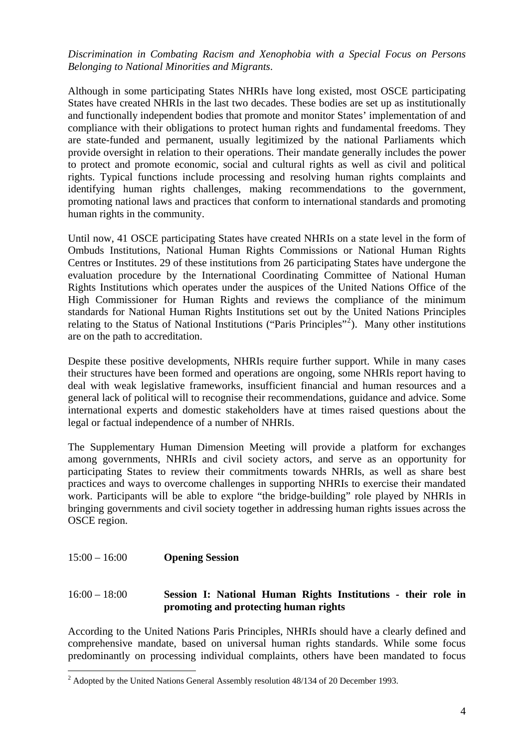## *Discrimination in Combating Racism and Xenophobia with a Special Focus on Persons Belonging to National Minorities and Migrants*.

Although in some participating States NHRIs have long existed, most OSCE participating States have created NHRIs in the last two decades. These bodies are set up as institutionally and functionally independent bodies that promote and monitor States' implementation of and compliance with their obligations to protect human rights and fundamental freedoms. They are state-funded and permanent, usually legitimized by the national Parliaments which provide oversight in relation to their operations. Their mandate generally includes the power to protect and promote economic, social and cultural rights as well as civil and political rights. Typical functions include processing and resolving human rights complaints and identifying human rights challenges, making recommendations to the government, promoting national laws and practices that conform to international standards and promoting human rights in the community.

Until now, 41 OSCE participating States have created NHRIs on a state level in the form of Ombuds Institutions, National Human Rights Commissions or National Human Rights Centres or Institutes. 29 of these institutions from 26 participating States have undergone the evaluation procedure by the International Coordinating Committee of National Human Rights Institutions which operates under the auspices of the United Nations Office of the High Commissioner for Human Rights and reviews the compliance of the minimum standards for National Human Rights Institutions set out by the United Nations Principles relating to the Status of National Institutions ("Paris Principles"<sup>[2](#page-1-0)</sup>). Many other institutions are on the path to accreditation.

Despite these positive developments, NHRIs require further support. While in many cases their structures have been formed and operations are ongoing, some NHRIs report having to deal with weak legislative frameworks, insufficient financial and human resources and a general lack of political will to recognise their recommendations, guidance and advice. Some international experts and domestic stakeholders have at times raised questions about the legal or factual independence of a number of NHRIs.

The Supplementary Human Dimension Meeting will provide a platform for exchanges among governments, NHRIs and civil society actors, and serve as an opportunity for participating States to review their commitments towards NHRIs, as well as share best practices and ways to overcome challenges in supporting NHRIs to exercise their mandated work. Participants will be able to explore "the bridge-building" role played by NHRIs in bringing governments and civil society together in addressing human rights issues across the OSCE region.

#### 15:00 – 16:00 **Opening Session**

## 16:00 – 18:00 **Session I: National Human Rights Institutions - their role in promoting and protecting human rights**

According to the United Nations Paris Principles, NHRIs should have a clearly defined and comprehensive mandate, based on universal human rights standards. While some focus predominantly on processing individual complaints, others have been mandated to focus

<span id="page-1-0"></span><sup>&</sup>lt;sup>2</sup> Adopted by the United Nations General Assembly resolution 48/134 of 20 December 1993.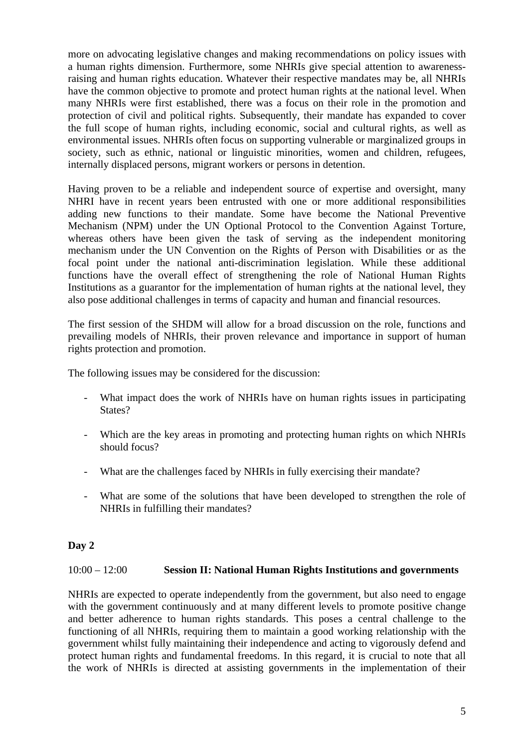more on advocating legislative changes and making recommendations on policy issues with a human rights dimension. Furthermore, some NHRIs give special attention to awarenessraising and human rights education. Whatever their respective mandates may be, all NHRIs have the common objective to promote and protect human rights at the national level. When many NHRIs were first established, there was a focus on their role in the promotion and protection of civil and political rights. Subsequently, their mandate has expanded to cover the full scope of human rights, including economic, social and cultural rights, as well as environmental issues. NHRIs often focus on supporting vulnerable or marginalized groups in society, such as ethnic, national or linguistic minorities, women and children, refugees, internally displaced persons, migrant workers or persons in detention.

Having proven to be a reliable and independent source of expertise and oversight, many NHRI have in recent years been entrusted with one or more additional responsibilities adding new functions to their mandate. Some have become the National Preventive Mechanism (NPM) under the UN Optional Protocol to the Convention Against Torture, whereas others have been given the task of serving as the independent monitoring mechanism under the UN Convention on the Rights of Person with Disabilities or as the focal point under the national anti-discrimination legislation. While these additional functions have the overall effect of strengthening the role of National Human Rights Institutions as a guarantor for the implementation of human rights at the national level, they also pose additional challenges in terms of capacity and human and financial resources.

The first session of the SHDM will allow for a broad discussion on the role, functions and prevailing models of NHRIs, their proven relevance and importance in support of human rights protection and promotion.

The following issues may be considered for the discussion:

- What impact does the work of NHRIs have on human rights issues in participating States?
- Which are the key areas in promoting and protecting human rights on which NHRIs should focus?
- What are the challenges faced by NHRIs in fully exercising their mandate?
- What are some of the solutions that have been developed to strengthen the role of NHRIs in fulfilling their mandates?

## **Day 2**

### 10:00 – 12:00 **Session II: National Human Rights Institutions and governments**

NHRIs are expected to operate independently from the government, but also need to engage with the government continuously and at many different levels to promote positive change and better adherence to human rights standards. This poses a central challenge to the functioning of all NHRIs, requiring them to maintain a good working relationship with the government whilst fully maintaining their independence and acting to vigorously defend and protect human rights and fundamental freedoms. In this regard, it is crucial to note that all the work of NHRIs is directed at assisting governments in the implementation of their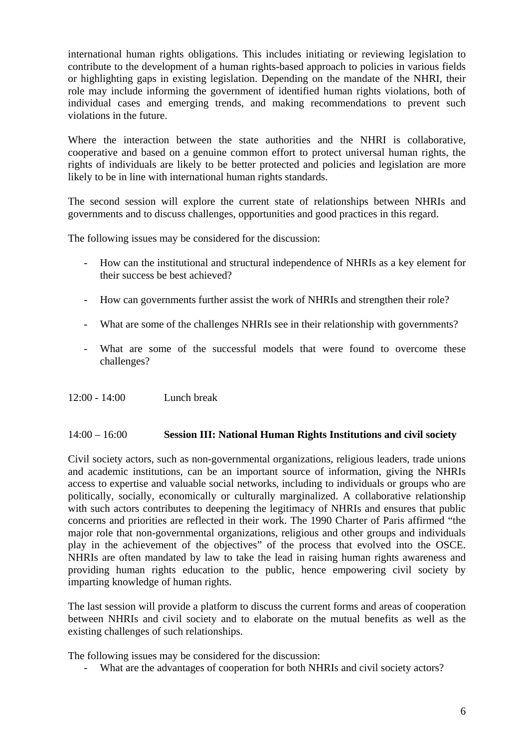international human rights obligations. This includes initiating or reviewing legislation to contribute to the development of a human rights-based approach to policies in various fields or highlighting gaps in existing legislation. Depending on the mandate of the NHRI, their role may include informing the government of identified human rights violations, both of individual cases and emerging trends, and making recommendations to prevent such violations in the future.

Where the interaction between the state authorities and the NHRI is collaborative, cooperative and based on a genuine common effort to protect universal human rights, the rights of individuals are likely to be better protected and policies and legislation are more likely to be in line with international human rights standards.

The second session will explore the current state of relationships between NHRIs and governments and to discuss challenges, opportunities and good practices in this regard.

The following issues may be considered for the discussion:

- How can the institutional and structural independence of NHRIs as a key element for their success be best achieved?
- How can governments further assist the work of NHRIs and strengthen their role?
- What are some of the challenges NHRIs see in their relationship with governments?
- What are some of the successful models that were found to overcome these challenges?
- 12:00 14:00 Lunch break

### 14:00 – 16:00 **Session III: National Human Rights Institutions and civil society**

Civil society actors, such as non-governmental organizations, religious leaders, trade unions and academic institutions, can be an important source of information, giving the NHRIs access to expertise and valuable social networks, including to individuals or groups who are politically, socially, economically or culturally marginalized. A collaborative relationship with such actors contributes to deepening the legitimacy of NHRIs and ensures that public concerns and priorities are reflected in their work. The 1990 Charter of Paris affirmed "the major role that non-governmental organizations, religious and other groups and individuals play in the achievement of the objectives" of the process that evolved into the OSCE. NHRIs are often mandated by law to take the lead in raising human rights awareness and providing human rights education to the public, hence empowering civil society by imparting knowledge of human rights.

The last session will provide a platform to discuss the current forms and areas of cooperation between NHRIs and civil society and to elaborate on the mutual benefits as well as the existing challenges of such relationships.

The following issues may be considered for the discussion:

What are the advantages of cooperation for both NHRIs and civil society actors?